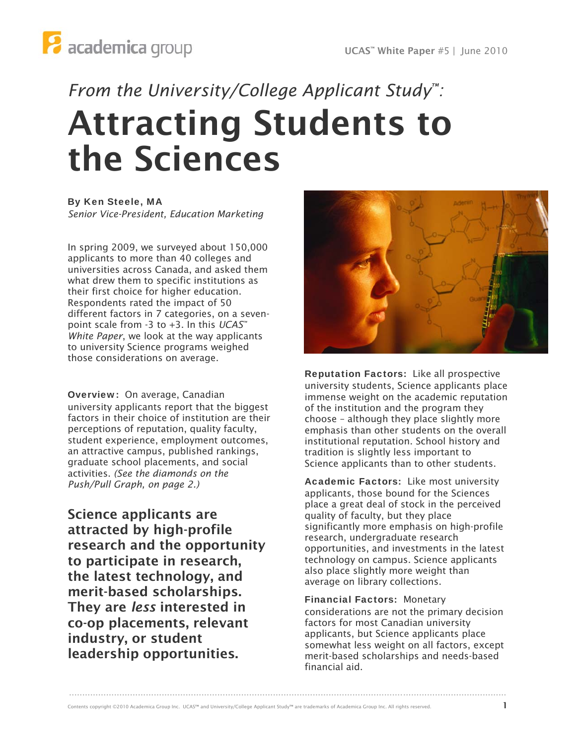# *From the University/College Applicant Study™:*  Attracting Students to the Sciences

By Ken Steele, MA *Senior Vice-President, Education Marketing* 

In spring 2009, we surveyed about 150,000 applicants to more than 40 colleges and universities across Canada, and asked them what drew them to specific institutions as their first choice for higher education. Respondents rated the impact of 50 different factors in 7 categories, on a sevenpoint scale from -3 to +3. In this *UCAS™ White Paper*, we look at the way applicants to university Science programs weighed those considerations on average.

Overview: On average, Canadian university applicants report that the biggest factors in their choice of institution are their perceptions of reputation, quality faculty, student experience, employment outcomes, an attractive campus, published rankings, graduate school placements, and social activities. *(See the diamonds on the Push/Pull Graph, on page 2.)* 

Science applicants are attracted by high-profile research and the opportunity to participate in research, the latest technology, and merit-based scholarships. They are *less* interested in co-op placements, relevant industry, or student leadership opportunities.



Reputation Factors: Like all prospective university students, Science applicants place immense weight on the academic reputation of the institution and the program they choose – although they place slightly more emphasis than other students on the overall institutional reputation. School history and tradition is slightly less important to Science applicants than to other students.

Academic Factors: Like most university applicants, those bound for the Sciences place a great deal of stock in the perceived quality of faculty, but they place significantly more emphasis on high-profile research, undergraduate research opportunities, and investments in the latest technology on campus. Science applicants also place slightly more weight than average on library collections.

Financial Factors: Monetary considerations are not the primary decision factors for most Canadian university applicants, but Science applicants place somewhat less weight on all factors, except merit-based scholarships and needs-based financial aid.

.....................................................................................................................................................................